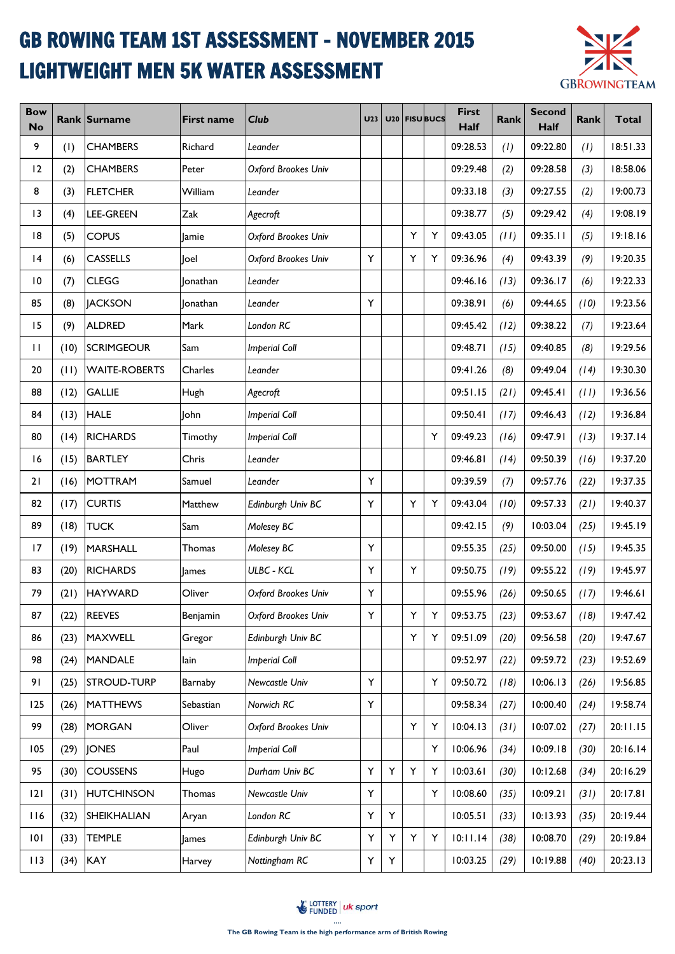## GB ROWING TEAM 1ST ASSESSMENT - NOVEMBER 2015 LIGHTWEIGHT MEN 5K WATER ASSESSMENT



| <b>Bow</b><br><b>No</b> |      | <b>Rank Surname</b>  | <b>First name</b> | <b>Club</b>          | U <sub>23</sub> |   |   | U20 FISUBUCS | <b>First</b><br>Half | Rank | <b>Second</b><br>Half | Rank | <b>Total</b> |
|-------------------------|------|----------------------|-------------------|----------------------|-----------------|---|---|--------------|----------------------|------|-----------------------|------|--------------|
| 9                       | (1)  | <b>CHAMBERS</b>      | Richard           | Leander              |                 |   |   |              | 09:28.53             | (1)  | 09:22.80              | (1)  | 18:51.33     |
| 12                      | (2)  | <b>CHAMBERS</b>      | Peter             | Oxford Brookes Univ  |                 |   |   |              | 09:29.48             | (2)  | 09:28.58              | (3)  | 18:58.06     |
| 8                       | (3)  | <b>FLETCHER</b>      | William           | Leander              |                 |   |   |              | 09:33.18             | (3)  | 09:27.55              | (2)  | 19:00.73     |
| 13                      | (4)  | LEE-GREEN            | Zak               | Agecroft             |                 |   |   |              | 09:38.77             | (5)  | 09:29.42              | (4)  | 19:08.19     |
| 8                       | (5)  | <b>COPUS</b>         | Jamie             | Oxford Brookes Univ  |                 |   | Y | Y            | 09:43.05             | (11) | 09:35.11              | (5)  | 19:18.16     |
| 4                       | (6)  | <b>CASSELLS</b>      | Joel              | Oxford Brookes Univ  | Y               |   | Y | Y            | 09:36.96             | (4)  | 09:43.39              | (9)  | 19:20.35     |
| $\overline{10}$         | (7)  | <b>CLEGG</b>         | lonathan          | Leander              |                 |   |   |              | 09:46.16             | (13) | 09:36.17              | (6)  | 19:22.33     |
| 85                      | (8)  | <b>JACKSON</b>       | lonathan          | Leander              | Y               |   |   |              | 09:38.91             | (6)  | 09:44.65              | (10) | 19:23.56     |
| 15                      | (9)  | <b>ALDRED</b>        | Mark              | London RC            |                 |   |   |              | 09:45.42             | (12) | 09:38.22              | (7)  | 19:23.64     |
| $\mathbf{H}$            | (10) | <b>SCRIMGEOUR</b>    | Sam               | <b>Imperial Coll</b> |                 |   |   |              | 09:48.71             | (15) | 09:40.85              | (8)  | 19:29.56     |
| 20                      | (11) | <b>WAITE-ROBERTS</b> | Charles           | Leander              |                 |   |   |              | 09:41.26             | (8)  | 09:49.04              | (14) | 19:30.30     |
| 88                      | (12) | <b>GALLIE</b>        | Hugh              | Agecroft             |                 |   |   |              | 09:51.15             | (21) | 09:45.41              | (11) | 19:36.56     |
| 84                      | (13) | <b>HALE</b>          | John              | <b>Imperial Coll</b> |                 |   |   |              | 09:50.41             | (17) | 09:46.43              | (12) | 19:36.84     |
| 80                      | (14) | <b>RICHARDS</b>      | Timothy           | <b>Imperial Coll</b> |                 |   |   | Y            | 09:49.23             | (16) | 09:47.91              | (13) | 19:37.14     |
| 16                      | (15) | <b>BARTLEY</b>       | Chris             | Leander              |                 |   |   |              | 09:46.81             | (14) | 09:50.39              | (16) | 19:37.20     |
| 21                      | (16) | <b>MOTTRAM</b>       | Samuel            | Leander              | Υ               |   |   |              | 09:39.59             | (7)  | 09:57.76              | (22) | 19:37.35     |
| 82                      | (17) | <b>CURTIS</b>        | Matthew           | Edinburgh Univ BC    | Y               |   | Υ | Y            | 09:43.04             | (10) | 09:57.33              | (21) | 19:40.37     |
| 89                      | (18) | <b>TUCK</b>          | Sam               | Molesey BC           |                 |   |   |              | 09:42.15             | (9)  | 10:03.04              | (25) | 19:45.19     |
| 17                      | (19) | <b>MARSHALL</b>      | Thomas            | Molesey BC           | Y               |   |   |              | 09:55.35             | (25) | 09:50.00              | (15) | 19:45.35     |
| 83                      | (20) | <b>RICHARDS</b>      | <b>James</b>      | <b>ULBC - KCL</b>    | Y               |   | Y |              | 09:50.75             | (19) | 09:55.22              | (19) | 19:45.97     |
| 79                      | (21) | <b>HAYWARD</b>       | Oliver            | Oxford Brookes Univ  | Υ               |   |   |              | 09:55.96             | (26) | 09:50.65              | (17) | 19:46.61     |
| 87                      | (22) | <b>REEVES</b>        | Benjamin          | Oxford Brookes Univ  | Υ               |   | Υ | Y            | 09:53.75             | (23) | 09:53.67              | (18) | 19:47.42     |
| 86                      | (23) | MAXWELL              | Gregor            | Edinburgh Univ BC    |                 |   | Y | Y            | 09:51.09             | (20) | 09:56.58              | (20) | 19:47.67     |
| 98                      | (24) | <b>MANDALE</b>       | lain              | <b>Imperial Coll</b> |                 |   |   |              | 09:52.97             | (22) | 09:59.72              | (23) | 19:52.69     |
| 91                      | (25) | <b>STROUD-TURP</b>   | Barnaby           | Newcastle Univ       | Υ               |   |   | Υ            | 09:50.72             | (18) | 10:06.13              | (26) | 19:56.85     |
| 125                     | (26) | <b>MATTHEWS</b>      | Sebastian         | Norwich RC           | Y               |   |   |              | 09:58.34             | (27) | 10:00.40              | (24) | 19:58.74     |
| 99                      | (28) | <b>MORGAN</b>        | Oliver            | Oxford Brookes Univ  |                 |   | Y | Υ            | 10:04.13             | (31) | 10:07.02              | (27) | 20:11.15     |
| 105                     | (29) | <b>JONES</b>         | Paul              | <b>Imperial Coll</b> |                 |   |   | Y            | 10:06.96             | (34) | 10:09.18              | (30) | 20:16.14     |
| 95                      | (30) | <b>COUSSENS</b>      | Hugo              | Durham Univ BC       | Y               | Y | Y | Y            | 10:03.61             | (30) | 10:12.68              | (34) | 20:16.29     |
| 2                       | (31) | <b>HUTCHINSON</b>    | Thomas            | Newcastle Univ       | Y               |   |   | Y            | 10:08.60             | (35) | 10:09.21              | (31) | 20:17.81     |
| 116                     | (32) | SHEIKHALIAN          | Aryan             | London RC            | Y               | Y |   |              | 10:05.51             | (33) | 10:13.93              | (35) | 20:19.44     |
| 101                     | (33) | <b>TEMPLE</b>        | James             | Edinburgh Univ BC    | Υ               | Y | Υ | Υ            | 10:11.14             | (38) | 10:08.70              | (29) | 20:19.84     |
| $  \cdot  $             | (34) | KAY                  | Harvey            | Nottingham RC        | Υ               | Y |   |              | 10:03.25             | (29) | 10:19.88              | (40) | 20:23.13     |

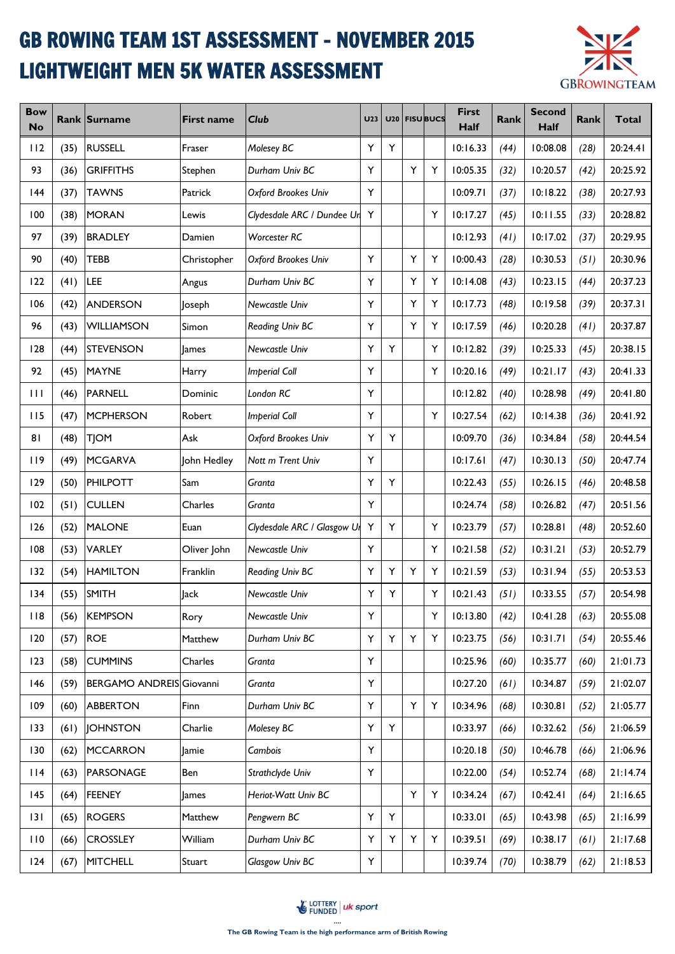## GB ROWING TEAM 1ST ASSESSMENT - NOVEMBER 2015 LIGHTWEIGHT MEN 5K WATER ASSESSMENT



| <b>Bow</b><br><b>No</b> |      | <b>Rank Surname</b>             | <b>First name</b> | Club                        | U <sub>23</sub> |   |   | U20 FISUBUCS | <b>First</b><br>Half | <b>Rank</b> | <b>Second</b><br>Half | <b>Rank</b> | <b>Total</b> |
|-------------------------|------|---------------------------------|-------------------|-----------------------------|-----------------|---|---|--------------|----------------------|-------------|-----------------------|-------------|--------------|
| 112                     | (35) | <b>RUSSELL</b>                  | Fraser            | Molesey BC                  | Y               | Υ |   |              | 10:16.33             | (44)        | 10:08.08              | (28)        | 20:24.41     |
| 93                      | (36) | <b>GRIFFITHS</b>                | Stephen           | Durham Univ BC              | Y               |   | Υ | Y            | 10:05.35             | (32)        | 10:20.57              | (42)        | 20:25.92     |
| 44                      | (37) | <b>TAWNS</b>                    | Patrick           | Oxford Brookes Univ         | Y               |   |   |              | 10:09.71             | (37)        | 10:18.22              | (38)        | 20:27.93     |
| 100                     | (38) | <b>MORAN</b>                    | Lewis             | Clydesdale ARC / Dundee Ur  | Y               |   |   | Y            | 10:17.27             | (45)        | 10:11.55              | (33)        | 20:28.82     |
| 97                      | (39) | <b>BRADLEY</b>                  | Damien            | Worcester RC                |                 |   |   |              | 10:12.93             | (41)        | 10:17.02              | (37)        | 20:29.95     |
| 90                      | (40) | <b>TEBB</b>                     | Christopher       | Oxford Brookes Univ         | Υ               |   | Υ | Y            | 10:00.43             | (28)        | 10:30.53              | (51)        | 20:30.96     |
| 122                     | (41) | LEE                             | Angus             | Durham Univ BC              | Y               |   | Υ | Y            | 10:14.08             | (43)        | 10:23.15              | (44)        | 20:37.23     |
| 106                     | (42) | <b>ANDERSON</b>                 | Joseph            | Newcastle Univ              | Y               |   | Y | Y            | 10:17.73             | (48)        | 10:19.58              | (39)        | 20:37.31     |
| 96                      | (43) | <b>WILLIAMSON</b>               | Simon             | Reading Univ BC             | Y               |   | Y | Y            | 10:17.59             | (46)        | 10:20.28              | (41)        | 20:37.87     |
| 128                     | (44) | <b>STEVENSON</b>                | lames             | Newcastle Univ              | Y               | Y |   | Y            | 10:12.82             | (39)        | 10:25.33              | (45)        | 20:38.15     |
| 92                      | (45) | <b>MAYNE</b>                    | Harry             | <b>Imperial Coll</b>        | Y               |   |   | Y            | 10:20.16             | (49)        | 10:21.17              | (43)        | 20:41.33     |
| $\mathbf{H}$            | (46) | <b>PARNELL</b>                  | Dominic           | London RC                   | Y               |   |   |              | 10:12.82             | (40)        | 10:28.98              | (49)        | 20:41.80     |
| 115                     | (47) | <b>MCPHERSON</b>                | Robert            | <b>Imperial Coll</b>        | Υ               |   |   | Y            | 10:27.54             | (62)        | 10:14.38              | (36)        | 20:41.92     |
| 81                      | (48) | <b>TJOM</b>                     | Ask               | Oxford Brookes Univ         | Υ               | Y |   |              | 10:09.70             | (36)        | 10:34.84              | (58)        | 20:44.54     |
| 119                     | (49) | <b>MCGARVA</b>                  | John Hedley       | Nott m Trent Univ           | Y               |   |   |              | 10:17.61             | (47)        | 10:30.13              | (50)        | 20:47.74     |
| 129                     | (50) | <b>PHILPOTT</b>                 | Sam               | Granta                      | Y               | Y |   |              | 10:22.43             | (55)        | 10:26.15              | (46)        | 20:48.58     |
| 102                     | (51) | <b>CULLEN</b>                   | Charles           | Granta                      | Y               |   |   |              | 10:24.74             | (58)        | 10:26.82              | (47)        | 20:51.56     |
| 126                     | (52) | <b>MALONE</b>                   | Euan              | Clydesdale ARC / Glasgow UI | Y               | Υ |   | Y            | 10:23.79             | (57)        | 10:28.81              | (48)        | 20:52.60     |
| 108                     | (53) | VARLEY                          | Oliver John       | Newcastle Univ              | Y               |   |   | Y            | 10:21.58             | (52)        | 10:31.21              | (53)        | 20:52.79     |
| 132                     | (54) | <b>HAMILTON</b>                 | Franklin          | Reading Univ BC             | Y               | Y | Υ | Y            | 10:21.59             | (53)        | 10:31.94              | (55)        | 20:53.53     |
| 134                     | (55) | <b>SMITH</b>                    | Jack              | Newcastle Univ              | Y               | Y |   | Y            | 10:21.43             | (51)        | 10:33.55              | (57)        | 20:54.98     |
| 118                     | (56) | <b>KEMPSON</b>                  | Rory              | Newcastle Univ              | Υ               |   |   | Y            | 10:13.80             | (42)        | 10:41.28              | (63)        | 20:55.08     |
| 120                     | (57) | <b>ROE</b>                      | Matthew           | Durham Univ BC              | Υ               | Y | Y | Y            | 10:23.75             | (56)        | 10:31.71              | (54)        | 20:55.46     |
| 123                     | (58) | <b>CUMMINS</b>                  | Charles           | Granta                      | Υ               |   |   |              | 10:25.96             | (60)        | 10:35.77              | (60)        | 21:01.73     |
| 146                     | (59) | <b>BERGAMO ANDREIS Giovanni</b> |                   | Granta                      | Y               |   |   |              | 10:27.20             | (61)        | 10:34.87              | (59)        | 21:02.07     |
| 109                     | (60) | <b>ABBERTON</b>                 | Finn              | Durham Univ BC              | Y               |   | Y | Υ            | 10:34.96             | (68)        | 10:30.81              | (52)        | 21:05.77     |
| 133                     | (61) | <b>JOHNSTON</b>                 | Charlie           | Molesey BC                  | Y               | Y |   |              | 10:33.97             | (66)        | 10:32.62              | (56)        | 21:06.59     |
| 130                     | (62) | <b>MCCARRON</b>                 | Jamie             | Cambois                     | Y               |   |   |              | 10:20.18             | (50)        | 10:46.78              | (66)        | 21:06.96     |
| 114                     | (63) | <b>PARSONAGE</b>                | Ben               | Strathclyde Univ            | Y               |   |   |              | 10:22.00             | (54)        | 10:52.74              | (68)        | 21:14.74     |
| 145                     | (64) | <b>FEENEY</b>                   | <b>James</b>      | Heriot-Watt Univ BC         |                 |   | Y | Y            | 10:34.24             | (67)        | 10:42.41              | (64)        | 21:16.65     |
| 3                       | (65) | <b>ROGERS</b>                   | Matthew           | Pengwern BC                 | Y               | Y |   |              | 10:33.01             | (65)        | 10:43.98              | (65)        | 21:16.99     |
| 110                     | (66) | <b>CROSSLEY</b>                 | William           | Durham Univ BC              | Υ               | Y | Y | Υ            | 10:39.51             | (69)        | 10:38.17              | (61)        | 21:17.68     |
| 124                     | (67) | <b>MITCHELL</b>                 | Stuart            | Glasgow Univ BC             | Υ               |   |   |              | 10:39.74             | (70)        | 10:38.79              | (62)        | 21:18.53     |